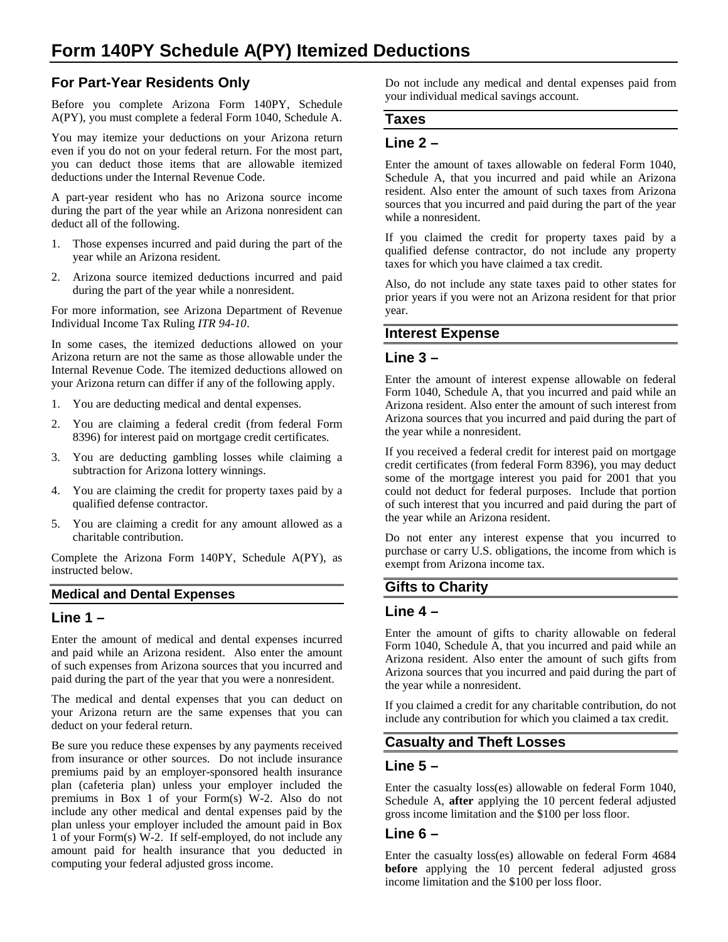# **For Part-Year Residents Only**

Before you complete Arizona Form 140PY, Schedule A(PY), you must complete a federal Form 1040, Schedule A.

You may itemize your deductions on your Arizona return even if you do not on your federal return. For the most part, you can deduct those items that are allowable itemized deductions under the Internal Revenue Code.

A part-year resident who has no Arizona source income during the part of the year while an Arizona nonresident can deduct all of the following.

- 1. Those expenses incurred and paid during the part of the year while an Arizona resident.
- 2. Arizona source itemized deductions incurred and paid during the part of the year while a nonresident.

For more information, see Arizona Department of Revenue Individual Income Tax Ruling *ITR 94-10*.

In some cases, the itemized deductions allowed on your Arizona return are not the same as those allowable under the Internal Revenue Code. The itemized deductions allowed on your Arizona return can differ if any of the following apply.

- 1. You are deducting medical and dental expenses.
- 2. You are claiming a federal credit (from federal Form 8396) for interest paid on mortgage credit certificates.
- 3. You are deducting gambling losses while claiming a subtraction for Arizona lottery winnings.
- 4. You are claiming the credit for property taxes paid by a qualified defense contractor.
- 5. You are claiming a credit for any amount allowed as a charitable contribution.

Complete the Arizona Form 140PY, Schedule A(PY), as instructed below.

#### **Medical and Dental Expenses**

## **Line 1 –**

Enter the amount of medical and dental expenses incurred and paid while an Arizona resident. Also enter the amount of such expenses from Arizona sources that you incurred and paid during the part of the year that you were a nonresident.

The medical and dental expenses that you can deduct on your Arizona return are the same expenses that you can deduct on your federal return.

Be sure you reduce these expenses by any payments received from insurance or other sources. Do not include insurance premiums paid by an employer-sponsored health insurance plan (cafeteria plan) unless your employer included the premiums in Box 1 of your Form(s) W-2. Also do not include any other medical and dental expenses paid by the plan unless your employer included the amount paid in Box 1 of your Form(s)  $W$ -2. If self-employed, do not include any amount paid for health insurance that you deducted in computing your federal adjusted gross income.

Do not include any medical and dental expenses paid from your individual medical savings account.

#### **Taxes**

### **Line 2 –**

Enter the amount of taxes allowable on federal Form 1040, Schedule A, that you incurred and paid while an Arizona resident. Also enter the amount of such taxes from Arizona sources that you incurred and paid during the part of the year while a nonresident.

If you claimed the credit for property taxes paid by a qualified defense contractor, do not include any property taxes for which you have claimed a tax credit.

Also, do not include any state taxes paid to other states for prior years if you were not an Arizona resident for that prior year.

#### **Interest Expense**

#### **Line 3 –**

Enter the amount of interest expense allowable on federal Form 1040, Schedule A, that you incurred and paid while an Arizona resident. Also enter the amount of such interest from Arizona sources that you incurred and paid during the part of the year while a nonresident.

If you received a federal credit for interest paid on mortgage credit certificates (from federal Form 8396), you may deduct some of the mortgage interest you paid for 2001 that you could not deduct for federal purposes. Include that portion of such interest that you incurred and paid during the part of the year while an Arizona resident.

Do not enter any interest expense that you incurred to purchase or carry U.S. obligations, the income from which is exempt from Arizona income tax.

## **Gifts to Charity**

#### **Line 4 –**

Enter the amount of gifts to charity allowable on federal Form 1040, Schedule A, that you incurred and paid while an Arizona resident. Also enter the amount of such gifts from Arizona sources that you incurred and paid during the part of the year while a nonresident.

If you claimed a credit for any charitable contribution, do not include any contribution for which you claimed a tax credit.

# **Casualty and Theft Losses**

#### **Line 5 –**

Enter the casualty loss(es) allowable on federal Form 1040, Schedule A, **after** applying the 10 percent federal adjusted gross income limitation and the \$100 per loss floor.

## **Line 6 –**

Enter the casualty loss(es) allowable on federal Form 4684 **before** applying the 10 percent federal adjusted gross income limitation and the \$100 per loss floor.